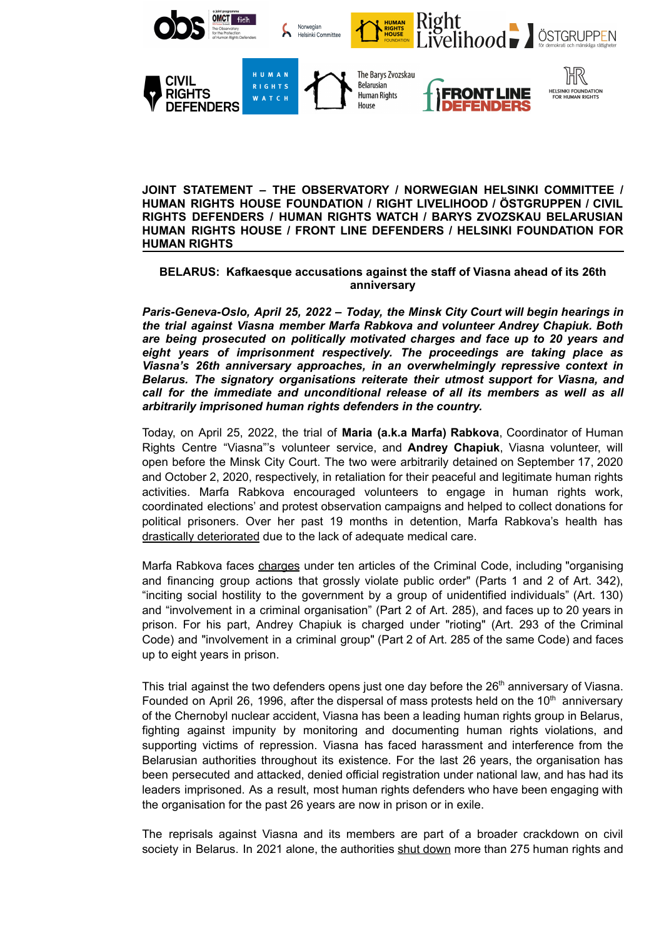

**JOINT STATEMENT – THE OBSERVATORY / NORWEGIAN HELSINKI COMMITTEE / HUMAN RIGHTS HOUSE FOUNDATION / RIGHT LIVELIHOOD / ÖSTGRUPPEN / CIVIL RIGHTS DEFENDERS / HUMAN RIGHTS WATCH / BARYS ZVOZSKAU BELARUSIAN HUMAN RIGHTS HOUSE / FRONT LINE DEFENDERS / HELSINKI FOUNDATION FOR HUMAN RIGHTS**

## **BELARUS: Kafkaesque accusations against the staff of Viasna ahead of its 26th anniversary**

*Paris-Geneva-Oslo, April 25, 2022 – Today, the Minsk City Court will begin hearings in the trial against Viasna member Marfa Rabkova and volunteer Andrey Chapiuk. Both are being prosecuted on politically motivated charges and face up to 20 years and eight years of imprisonment respectively. The proceedings are taking place as Viasna's 26th anniversary approaches, in an overwhelmingly repressive context in Belarus. The signatory organisations reiterate their utmost support for Viasna, and call for the immediate and unconditional release of all its members as well as all arbitrarily imprisoned human rights defenders in the country.*

Today, on April 25, 2022, the trial of **Maria (a.k.a Marfa) Rabkova**, Coordinator of Human Rights Centre "Viasna"'s volunteer service, and **Andrey Chapiuk**, Viasna volunteer, will open before the Minsk City Court. The two were arbitrarily detained on September 17, 2020 and October 2, 2020, respectively, in retaliation for their peaceful and legitimate human rights activities. Marfa Rabkova encouraged volunteers to engage in human rights work, coordinated elections' and protest observation campaigns and helped to collect donations for political prisoners. Over her past 19 months in detention, Marfa Rabkova's health has [drastically deteriorated](https://www.omct.org/en/resources/urgent-interventions/belarus-upcoming-trial-and-deteriorating-health-condition-of-marfa-rabkova) due to the lack of adequate medical care.

Marfa Rabkova faces [charges](https://www.omct.org/en/resources/urgent-interventions/belarus-upcoming-trial-and-deteriorating-health-condition-of-marfa-rabkova) under ten articles of the Criminal Code, including "organising and financing group actions that grossly violate public order" (Parts 1 and 2 of Art. 342), "inciting social hostility to the government by a group of unidentified individuals" (Art. 130) and "involvement in a criminal organisation" (Part 2 of Art. 285), and faces up to 20 years in prison. For his part, Andrey Chapiuk is charged under "rioting" (Art. 293 of the Criminal Code) and "involvement in a criminal group" (Part 2 of Art. 285 of the same Code) and faces up to eight years in prison.

This trial against the two defenders opens just one day before the 26<sup>th</sup> anniversary of Viasna. Founded on April 26, 1996, after the dispersal of mass protests held on the 10<sup>th</sup> anniversary of the Chernobyl nuclear accident, Viasna has been a leading human rights group in Belarus, fighting against impunity by monitoring and documenting human rights violations, and supporting victims of repression. Viasna has faced harassment and interference from the Belarusian authorities throughout its existence. For the last 26 years, the organisation has been persecuted and attacked, denied official registration under national law, and has had its leaders imprisoned. As a result, most human rights defenders who have been engaging with the organisation for the past 26 years are now in prison or in exile.

The reprisals against Viasna and its members are part of a broader crackdown on civil society in Belarus. In 2021 alone, the authorities shut [down](https://www.fidh.org/en/issues/human-rights-defenders/belarus-remaining-human-rights-organisations-liquidated-in-belarus) more than 275 human rights and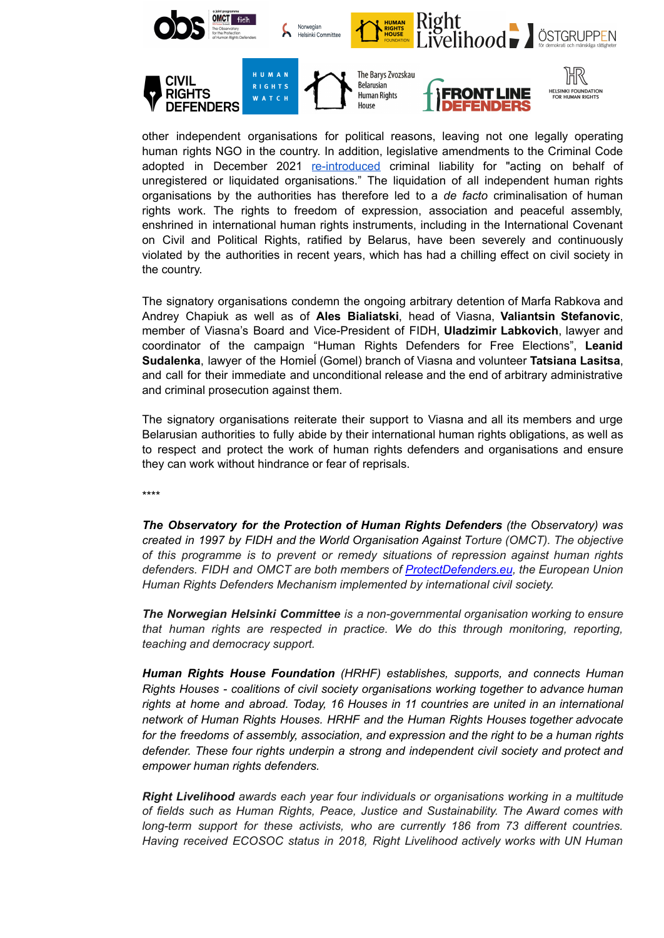

other independent organisations for political reasons, leaving not one legally operating human rights NGO in the country. In addition, legislative amendments to the Criminal Code adopted in December 2021 [re-introduced](https://www.fidh.org/en/region/europe-central-asia/belarus/belarus-new-amendment-to-the-criminal-code-leaves-no-room-for-legal) criminal liability for "acting on behalf of unregistered or liquidated organisations." The liquidation of all independent human rights organisations by the authorities has therefore led to a *de facto* criminalisation of human rights work. The rights to freedom of expression, association and peaceful assembly, enshrined in international human rights instruments, including in the International Covenant on Civil and Political Rights, ratified by Belarus, have been severely and continuously violated by the authorities in recent years, which has had a chilling effect on civil society in the country.

The signatory organisations condemn the ongoing arbitrary detention of Marfa Rabkova and Andrey Chapiuk as well as of **Ales Bialiatski**, head of Viasna, **Valiantsin Stefanovic**, member of Viasna's Board and Vice-President of FIDH, **Uladzimir Labkovich**, lawyer and coordinator of the campaign "Human Rights Defenders for Free Elections", **Leanid Sudalenka**, lawyer of the Homieĺ (Gomel) branch of Viasna and volunteer **Tatsiana Lasitsa**, and call for their immediate and unconditional release and the end of arbitrary administrative and criminal prosecution against them.

The signatory organisations reiterate their support to Viasna and all its members and urge Belarusian authorities to fully abide by their international human rights obligations, as well as to respect and protect the work of human rights defenders and organisations and ensure they can work without hindrance or fear of reprisals.

\*\*\*\*

*The Observatory for the Protection of Human Rights Defenders (the Observatory) was created in 1997 by FIDH and the World Organisation Against Torture (OMCT). The objective of this programme is to prevent or remedy situations of repression against human rights defenders. FIDH and OMCT are both members of [ProtectDefenders.eu](https://www.protectdefenders.eu/en/index.html), the European Union Human Rights Defenders Mechanism implemented by international civil society.*

*The Norwegian Helsinki Committee is a non-governmental organisation working to ensure that human rights are respected in practice. We do this through monitoring, reporting, teaching and democracy support.*

*Human Rights House Foundation (HRHF) establishes, supports, and connects Human Rights Houses - coalitions of civil society organisations working together to advance human rights at home and abroad. Today, 16 Houses in 11 countries are united in an international network of Human Rights Houses. HRHF and the Human Rights Houses together advocate for the freedoms of assembly, association, and expression and the right to be a human rights defender. These four rights underpin a strong and independent civil society and protect and empower human rights defenders.*

*Right Livelihood awards each year four individuals or organisations working in a multitude of fields such as Human Rights, Peace, Justice and Sustainability. The Award comes with long-term support for these activists, who are currently 186 from 73 different countries. Having received ECOSOC status in 2018, Right Livelihood actively works with UN Human*